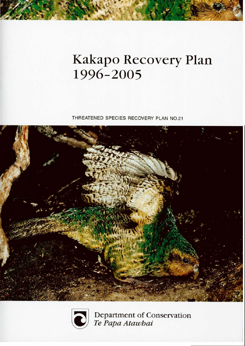# Kakapo Recovery Plan 1996-2005

THREATENED SPECIES RECOVERY PLAN NO.21





Department of Conservation<br>Te Papa Atawbai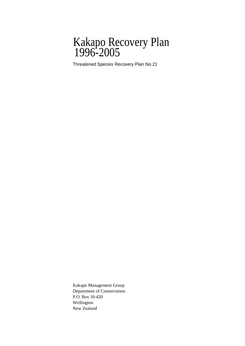### Kakapo Recovery Plan 1996-2005

Threatened Species Recovery Plan No.21

Kakapo Management Group Department of Conservation P.O. Box 10-420 Wellington New Zealand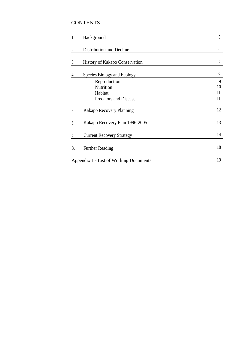#### **CONTENTS**

| 1.                                     | Background                       | 5  |
|----------------------------------------|----------------------------------|----|
| 2.                                     | Distribution and Decline         | 6  |
| 3.                                     | History of Kakapo Conservation   | 7  |
| 4.                                     | Species Biology and Ecology      | 9  |
|                                        | Reproduction                     | 9  |
|                                        | Nutrition                        | 10 |
|                                        | Habitat                          | 11 |
|                                        | <b>Predators and Disease</b>     | 11 |
| 5.                                     | Kakapo Recovery Planning         | 12 |
| 6.                                     | Kakapo Recovery Plan 1996-2005   | 13 |
| 7.                                     | <b>Current Recovery Strategy</b> | 14 |
| 8.                                     | <b>Further Reading</b>           | 18 |
| Appendix 1 - List of Working Documents |                                  | 19 |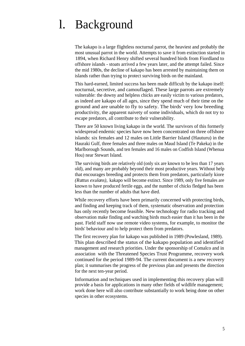## l. Background

The kakapo is a large flightless nocturnal parrot, the heaviest and probably the most unusual parrot in the world. Attempts to save it from extinction started in 1894, when Richard Henry shifted several hundred birds from Fiordland to offshore islands - stoats arrived a few years later, and the attempt failed. Since the mid 1980s, the decline of kakapo has been arrested by maintaining them on islands rather than trying to protect surviving birds on the mainland.

This hard-earned, limited success has been made difficult by the kakapo itself: nocturnal, secretive, and camouflaged. These large parrots are extremely vulnerable: the downy and helpless chicks are easily victim to various predators, as indeed are kakapo of all ages, since they spend much of their time on the ground and are unable to fly to safety. The birds' very low breeding productivity, the apparent naivety of some individuals, which do not try to escape predators, all contribute to their vulnerability.

There are 50 known living kakapo in the world. The survivors of this formerly widespread endemic species have now been concentrated on three offshore islands: six females and 12 males on Little Barrier Island (Hauturu) in the Hauraki Gulf, three females and three males on Maud Island (Te Pakeka) in the Marlborough Sounds, and ten females and 16 males on Codfish Island (Whenua Hou) near Stewart Island.

The surviving birds are relatively old (only six are known to be less than 17 years old), and many are probably beyond their most productive years. Without help that encourages breeding and protects them from predators, particularly kiore *(Rattus exulans),* kakapo will become extinct. Since 1989, only five females are known to have produced fertile eggs, and the number of chicks fledged has been less than the number of adults that have died.

While recovery efforts have been primarily concerned with protecting birds, and finding and keeping track of them, systematic observation and protection has only recently become feasible. New technology for radio tracking and observation make finding and watching birds much easier than it has been in the past. Field staff now use remote video systems, for example, to monitor the birds' behaviour and to help protect them from predators.

The first recovery plan for kakapo was published in 1989 (Powlesland, 1989). This plan described the status of the kakapo population and identified management and research priorities. Under the sponsorship of Comalco and in association with the Threatened Species Trust Programme, recovery work continued for the period 1989-94. The current document is a new recovery plan; it summarises the progress of the previous plan and presents the direction for the next ten-year period.

Information and techniques used in implementing this recovery plan will provide a basis for applications in many other fields of wildlife management; work done here will also contribute substantially to work being done on other species in other ecosystems.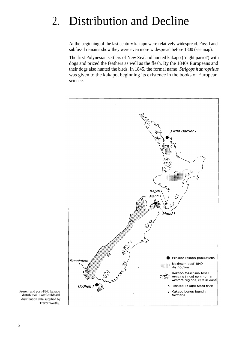## 2. Distribution and Decline

At the beginning of the last century kakapo were relatively widespread. Fossil and subfossil remains show they were even more widespread before 1800 (see map).

The first Polynesian settlers of New Zealand hunted kakapo (`night parrot') with dogs and prized the feathers as well as the flesh. By the 1840s Europeans and their dogs also hunted the birds. In 1845, the formal name *Strigops habroptilus* was given to the kakapo, beginning its existence in the books of European science.



Present and post-1840 kakapo distribution. Fossil/subfossil distribution data supplied by Trevor Worthy.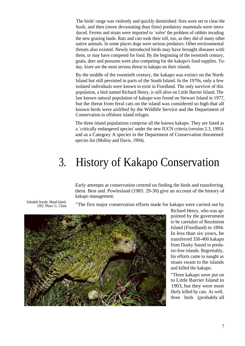The birds' range was violently and quickly diminished: fires were set to clear the bush, and then (more devastating than fires) predatory mammals were introduced. Ferrets and stoats were imported to `solve' the problem of rabbits invading the new grazing lands. Rats and cats took their toll, too, as they did of many other native animals. In some places dogs were serious predators. Other environmental threats also existed. Newly introduced birds may have brought diseases with them, or may have competed for food. By the beginning of the twentieth century, goats, deer and possums were also competing for the kakapo's food supplies. Today, kiore are the most serious threat to kakapo on their islands.

By the middle of the twentieth century, the kakapo was extinct on the North Island but still persisted in parts of the South Island. In the 1970s, only a few isolated individuals were known to exist in Fiordland. The only survivor of this population, a bird named Richard Henry, is still alive on Little Barrier Island. The last known natural population of kakapo was found on Stewart Island in 1977, but the threat from feral cats on the island was considered so high that all known birds were airlifted by the Wildlife Service and the Department of Conservation to offshore island refuges.

The three island populations comprise all the known kakapo. They are listed as a `critically endangered species' under the new IUCN criteria (version 2.3, 1995) and as a Category A species in the Department of Conservation threatened species list (Molloy and Davis, 1994).

## 3. History of Kakapo Conservation

Early attempts at conservation centred on finding the birds and transferring them. Best and. Powlesland (1985: 29-30) give an account of the history of kakapo management:

Subadult female, Maud Island, 1992. Photo: G. Climo

"The first major conservation efforts made for kakapo were carried out by



Richard Henry, who was appointed by the government to be caretaker of Resolution Island (Fiordland) in 1894. In less than six years, he transferred 350-400 kakapo from Dusky Sound to predator-free islands. Regrettably, his efforts came to naught as stoats swam to the islands and killed the kakapo.

"Three kakapo were put on to Little Barrier Island in 1903, but they were most likely killed by cats. As well, three birds (probably all